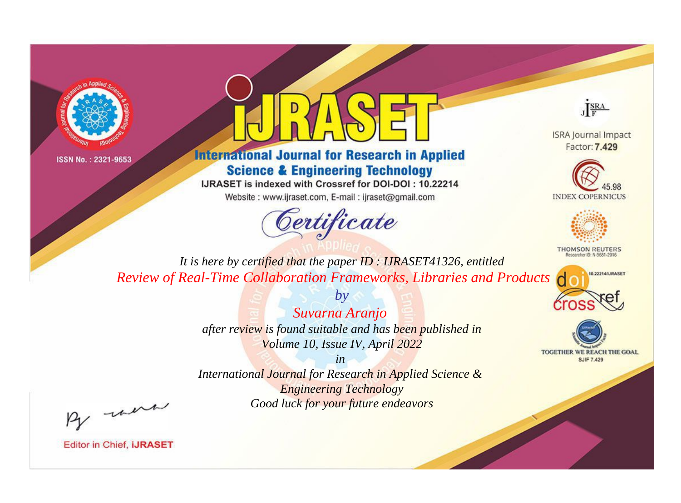



## **International Journal for Research in Applied Science & Engineering Technology**

IJRASET is indexed with Crossref for DOI-DOI: 10.22214

Website: www.ijraset.com, E-mail: ijraset@gmail.com



JERA

**ISRA Journal Impact** Factor: 7.429





**THOMSON REUTERS** 



TOGETHER WE REACH THE GOAL **SJIF 7.429** 

*It is here by certified that the paper ID : IJRASET41326, entitled Review of Real-Time Collaboration Frameworks, Libraries and Products*

> *Suvarna Aranjo after review is found suitable and has been published in Volume 10, Issue IV, April 2022*

*by*

*in* 

*International Journal for Research in Applied Science & Engineering Technology Good luck for your future endeavors*

By morn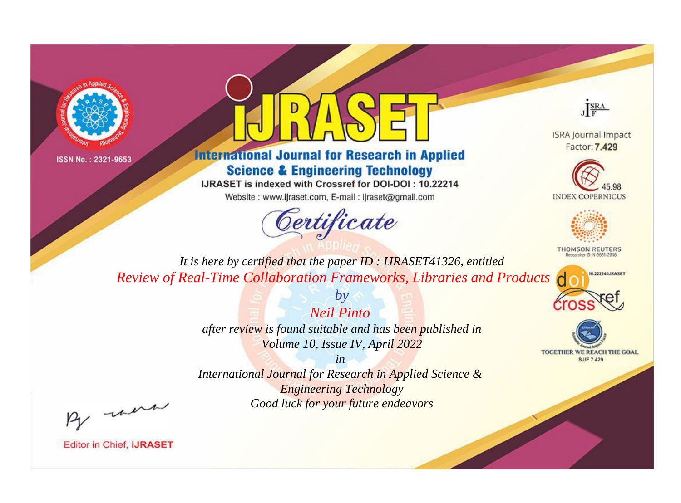



**International Journal for Research in Applied Science & Engineering Technology** 

IJRASET is indexed with Crossref for DOI-DOI: 10.22214

Website: www.ijraset.com, E-mail: ijraset@gmail.com



JERA

**ISRA Journal Impact** Factor: 7.429





**THOMSON REUTERS** 



TOGETHER WE REACH THE GOAL **SJIF 7.429** 

*It is here by certified that the paper ID : IJRASET41326, entitled Review of Real-Time Collaboration Frameworks, Libraries and Products*

> *Neil Pinto after review is found suitable and has been published in Volume 10, Issue IV, April 2022*

*by*

*in* 

*International Journal for Research in Applied Science & Engineering Technology Good luck for your future endeavors*

By morn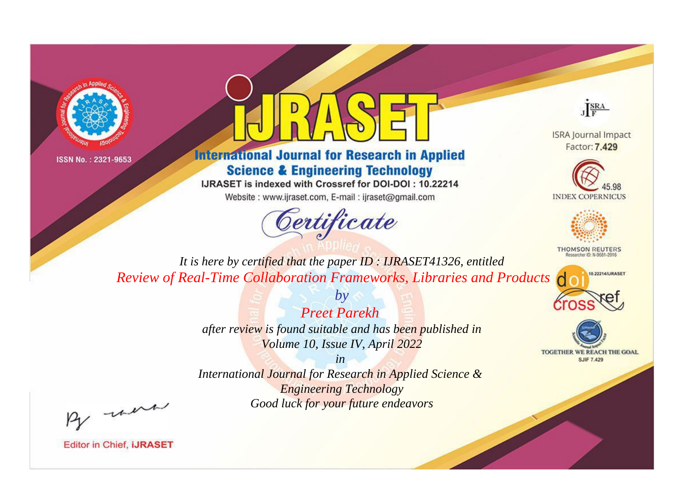



## **International Journal for Research in Applied Science & Engineering Technology**

IJRASET is indexed with Crossref for DOI-DOI: 10.22214

Website: www.ijraset.com, E-mail: ijraset@gmail.com



JERA

**ISRA Journal Impact** Factor: 7.429





**THOMSON REUTERS** 



TOGETHER WE REACH THE GOAL **SJIF 7.429** 

*It is here by certified that the paper ID : IJRASET41326, entitled Review of Real-Time Collaboration Frameworks, Libraries and Products*

> *by Preet Parekh after review is found suitable and has been published in Volume 10, Issue IV, April 2022*

> > *in*

*International Journal for Research in Applied Science & Engineering Technology Good luck for your future endeavors*

By morn